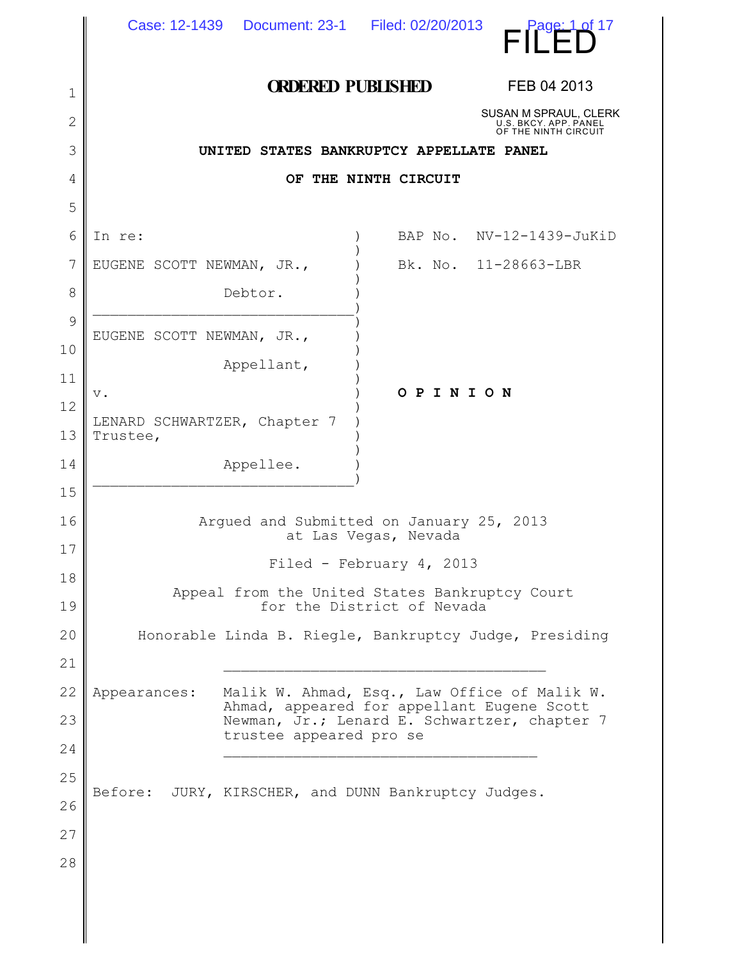|              | Case: 12-1439  Document: 23-1   Filed: 02/20/2013<br>Page: 1 of 17                                         |  |  |  |  |  |
|--------------|------------------------------------------------------------------------------------------------------------|--|--|--|--|--|
| 1            | <b>ORDERED PUBLISHED</b><br>FEB 04 2013                                                                    |  |  |  |  |  |
| $\mathbf{2}$ | SUSAN M SPRAUL, CLERK<br>U.S. BKCY. APP. PANEL                                                             |  |  |  |  |  |
| 3            | OF THE NINTH CIRCUIT<br>UNITED STATES BANKRUPTCY APPELLATE PANEL                                           |  |  |  |  |  |
| 4            | OF THE NINTH CIRCUIT                                                                                       |  |  |  |  |  |
| 5            |                                                                                                            |  |  |  |  |  |
| 6            | BAP No. NV-12-1439-JuKiD<br>In re:                                                                         |  |  |  |  |  |
| 7            | EUGENE SCOTT NEWMAN, JR.,<br>Bk. No. 11-28663-LBR                                                          |  |  |  |  |  |
| 8            | Debtor.                                                                                                    |  |  |  |  |  |
| 9            | EUGENE SCOTT NEWMAN, JR.,                                                                                  |  |  |  |  |  |
| 10           | Appellant,                                                                                                 |  |  |  |  |  |
| 11           | OPINION<br>$\mathbf v$ .                                                                                   |  |  |  |  |  |
| 12<br>13     | LENARD SCHWARTZER, Chapter 7<br>Trustee,                                                                   |  |  |  |  |  |
| 14           | Appellee.                                                                                                  |  |  |  |  |  |
| 15           |                                                                                                            |  |  |  |  |  |
| 16           | Argued and Submitted on January 25, 2013                                                                   |  |  |  |  |  |
| 17           | at Las Vegas, Nevada<br>Filed - February 4, 2013                                                           |  |  |  |  |  |
| 18           | Appeal from the United States Bankruptcy Court                                                             |  |  |  |  |  |
| 19           | for the District of Nevada                                                                                 |  |  |  |  |  |
| 20           | Honorable Linda B. Riegle, Bankruptcy Judge, Presiding                                                     |  |  |  |  |  |
| 21           |                                                                                                            |  |  |  |  |  |
| 22           | Malik W. Ahmad, Esq., Law Office of Malik W.<br>Appearances:<br>Ahmad, appeared for appellant Eugene Scott |  |  |  |  |  |
| 23           | Newman, Jr.; Lenard E. Schwartzer, chapter 7<br>trustee appeared pro se                                    |  |  |  |  |  |
| 24           |                                                                                                            |  |  |  |  |  |
| 25           | Before: JURY, KIRSCHER, and DUNN Bankruptcy Judges.                                                        |  |  |  |  |  |
| 26           |                                                                                                            |  |  |  |  |  |
| 27           |                                                                                                            |  |  |  |  |  |
| 28           |                                                                                                            |  |  |  |  |  |
|              |                                                                                                            |  |  |  |  |  |

 $\parallel$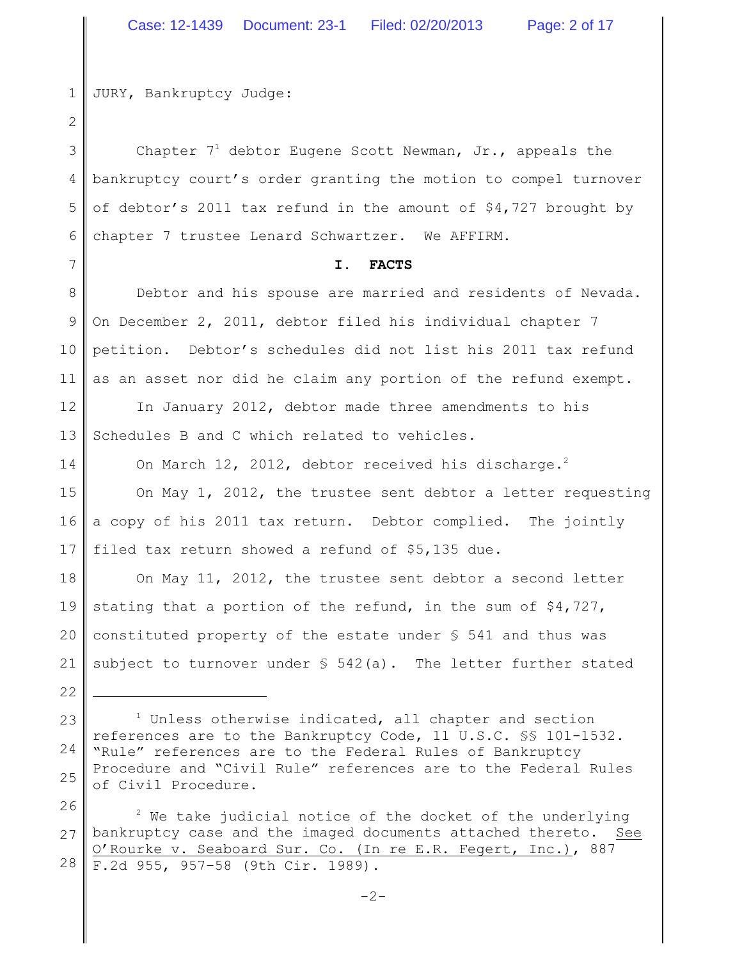JURY, Bankruptcy Judge:

1

2

7

14

22

3 4 5 6 Chapter  $7<sup>1</sup>$  debtor Eugene Scott Newman, Jr., appeals the bankruptcy court's order granting the motion to compel turnover of debtor's 2011 tax refund in the amount of \$4,727 brought by chapter 7 trustee Lenard Schwartzer. We AFFIRM.

## **I. FACTS**

8 9 10 11 12 13 Debtor and his spouse are married and residents of Nevada. On December 2, 2011, debtor filed his individual chapter 7 petition. Debtor's schedules did not list his 2011 tax refund as an asset nor did he claim any portion of the refund exempt. In January 2012, debtor made three amendments to his Schedules B and C which related to vehicles.

On March 12, 2012, debtor received his discharge.<sup>2</sup>

15 16 17 On May 1, 2012, the trustee sent debtor a letter requesting a copy of his 2011 tax return. Debtor complied. The jointly filed tax return showed a refund of \$5,135 due.

18 19 20 21 On May 11, 2012, the trustee sent debtor a second letter stating that a portion of the refund, in the sum of \$4,727, constituted property of the estate under § 541 and thus was subject to turnover under  $\S$  542(a). The letter further stated

23 24 25  $1$  Unless otherwise indicated, all chapter and section references are to the Bankruptcy Code, 11 U.S.C. §§ 101-1532. "Rule" references are to the Federal Rules of Bankruptcy Procedure and "Civil Rule" references are to the Federal Rules of Civil Procedure.

26 27 28  $2$  We take judicial notice of the docket of the underlying bankruptcy case and the imaged documents attached thereto. See O'Rourke v. Seaboard Sur. Co. (In re E.R. Fegert, Inc.), 887 F.2d 955, 957–58 (9th Cir. 1989).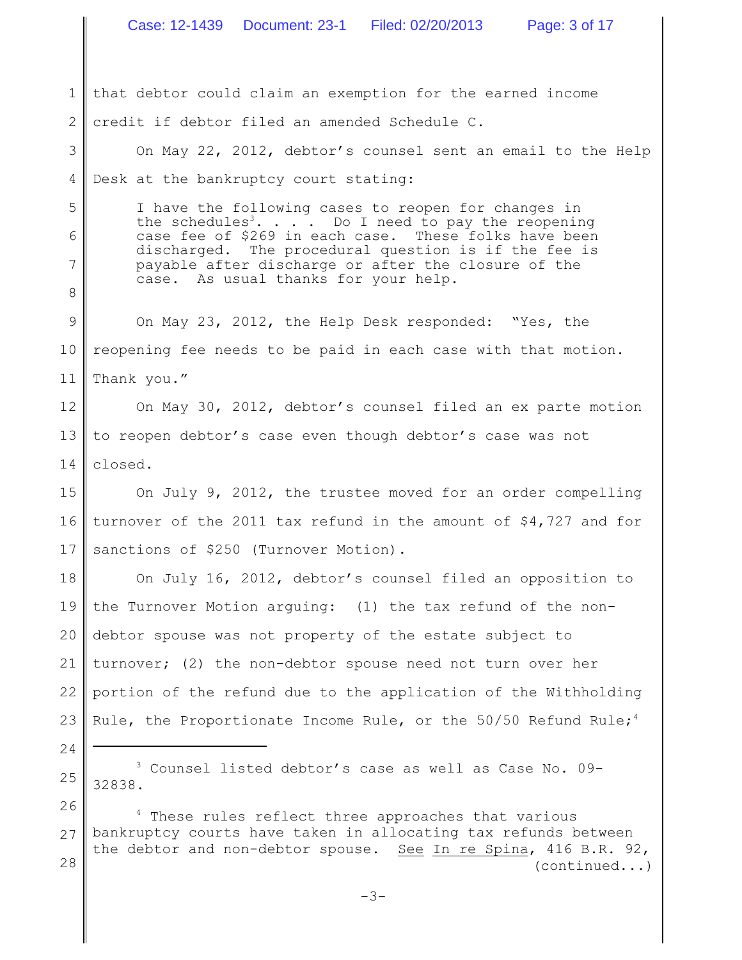$\mathsf I$ 

| 1             | that debtor could claim an exemption for the earned income                                                                                                                 |  |  |  |  |  |  |
|---------------|----------------------------------------------------------------------------------------------------------------------------------------------------------------------------|--|--|--|--|--|--|
| $\mathbf{2}$  | credit if debtor filed an amended Schedule C.                                                                                                                              |  |  |  |  |  |  |
| 3             | On May 22, 2012, debtor's counsel sent an email to the Help                                                                                                                |  |  |  |  |  |  |
| 4             | Desk at the bankruptcy court stating:                                                                                                                                      |  |  |  |  |  |  |
| 5             | I have the following cases to reopen for changes in                                                                                                                        |  |  |  |  |  |  |
| 6             | the schedules <sup>3</sup> Do I need to pay the reopening<br>case fee of \$269 in each case. These folks have been<br>discharged. The procedural question is if the fee is |  |  |  |  |  |  |
| 7             | payable after discharge or after the closure of the<br>case. As usual thanks for your help.                                                                                |  |  |  |  |  |  |
| $\,8\,$       |                                                                                                                                                                            |  |  |  |  |  |  |
| $\mathcal{G}$ | On May 23, 2012, the Help Desk responded: "Yes, the                                                                                                                        |  |  |  |  |  |  |
| 10            | reopening fee needs to be paid in each case with that motion.                                                                                                              |  |  |  |  |  |  |
| 11            | Thank you."                                                                                                                                                                |  |  |  |  |  |  |
| 12            | On May 30, 2012, debtor's counsel filed an ex parte motion                                                                                                                 |  |  |  |  |  |  |
| 13            | to reopen debtor's case even though debtor's case was not                                                                                                                  |  |  |  |  |  |  |
| 14            | closed.                                                                                                                                                                    |  |  |  |  |  |  |
| 15            | On July 9, 2012, the trustee moved for an order compelling                                                                                                                 |  |  |  |  |  |  |
| 16            | turnover of the 2011 tax refund in the amount of \$4,727 and for                                                                                                           |  |  |  |  |  |  |
| 17            | sanctions of \$250 (Turnover Motion).                                                                                                                                      |  |  |  |  |  |  |
| 18            | On July 16, 2012, debtor's counsel filed an opposition to                                                                                                                  |  |  |  |  |  |  |
| 19            | the Turnover Motion arguing: (1) the tax refund of the non-                                                                                                                |  |  |  |  |  |  |
| 20            | debtor spouse was not property of the estate subject to                                                                                                                    |  |  |  |  |  |  |
| 21            | turnover; (2) the non-debtor spouse need not turn over her                                                                                                                 |  |  |  |  |  |  |
| 22            | portion of the refund due to the application of the Withholding                                                                                                            |  |  |  |  |  |  |
| 23            | Rule, the Proportionate Income Rule, or the $50/50$ Refund Rule; <sup>4</sup>                                                                                              |  |  |  |  |  |  |
| 24            |                                                                                                                                                                            |  |  |  |  |  |  |
| 25            | Counsel listed debtor's case as well as Case No. 09-<br>32838.                                                                                                             |  |  |  |  |  |  |
| 26            | These rules reflect three approaches that various                                                                                                                          |  |  |  |  |  |  |
| 27            | bankruptcy courts have taken in allocating tax refunds between<br>the debtor and non-debtor spouse. See In re Spina, 416 B.R. 92,                                          |  |  |  |  |  |  |
| 28            | (continued)                                                                                                                                                                |  |  |  |  |  |  |

-3-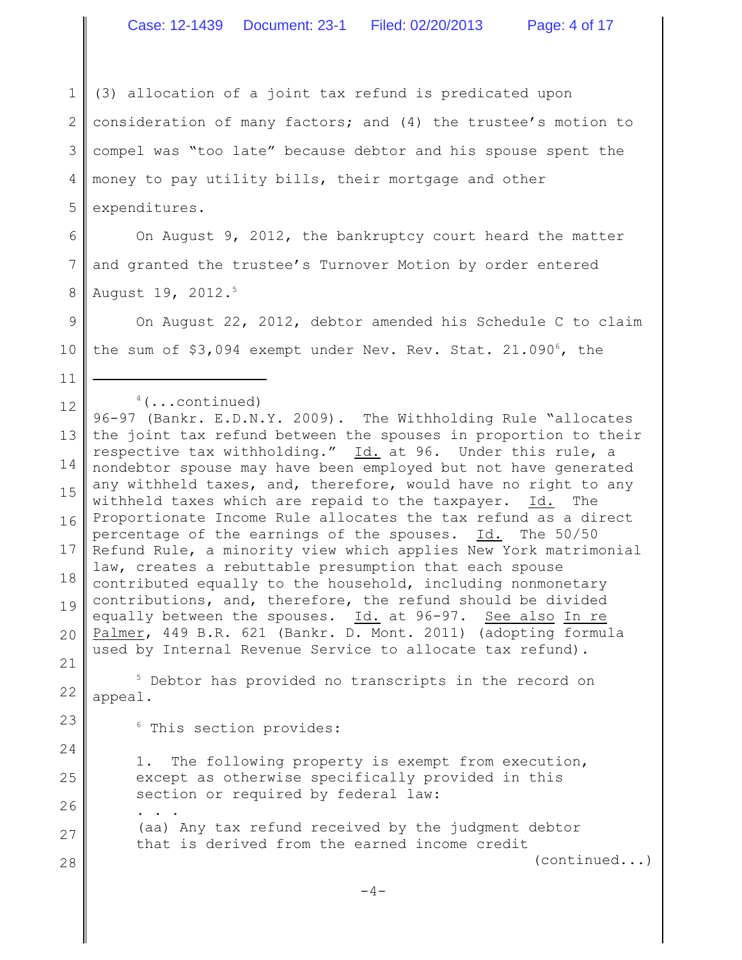1 2 3 4 5 6 7 8 9 10 11 12 13 14 15 16 17 18 19 20 21 22 23 24 25 26 27 28  $4$  (...continued) 96-97 (Bankr. E.D.N.Y. 2009). The Withholding Rule "allocates the joint tax refund between the spouses in proportion to their respective tax withholding." Id. at 96. Under this rule, a nondebtor spouse may have been employed but not have generated any withheld taxes, and, therefore, would have no right to any withheld taxes which are repaid to the taxpayer. Id. The Proportionate Income Rule allocates the tax refund as a direct percentage of the earnings of the spouses. Id. The 50/50 Refund Rule, a minority view which applies New York matrimonial law, creates a rebuttable presumption that each spouse contributed equally to the household, including nonmonetary contributions, and, therefore, the refund should be divided equally between the spouses. Id. at 96-97. See also In re Palmer, 449 B.R. 621 (Bankr. D. Mont. 2011) (adopting formula used by Internal Revenue Service to allocate tax refund).  $5$  Debtor has provided no transcripts in the record on appeal.  $6$  This section provides: 1. The following property is exempt from execution, except as otherwise specifically provided in this section or required by federal law: . . . (aa) Any tax refund received by the judgment debtor that is derived from the earned income credit (continued...)  $-4-$ (3) allocation of a joint tax refund is predicated upon consideration of many factors; and (4) the trustee's motion to compel was "too late" because debtor and his spouse spent the money to pay utility bills, their mortgage and other expenditures. On August 9, 2012, the bankruptcy court heard the matter and granted the trustee's Turnover Motion by order entered August 19, 2012.<sup>5</sup> On August 22, 2012, debtor amended his Schedule C to claim the sum of  $$3,094$  exempt under Nev. Rev. Stat. 21.090 $^6$ , the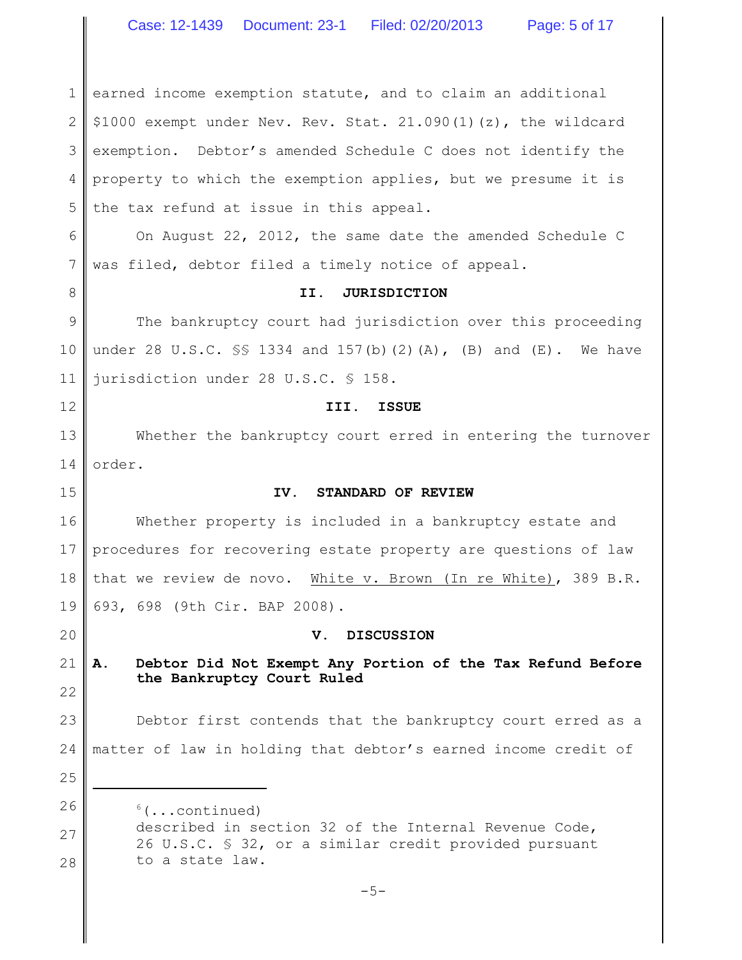1 2 3 4 5 earned income exemption statute, and to claim an additional \$1000 exempt under Nev. Rev. Stat. 21.090(1)(z), the wildcard exemption. Debtor's amended Schedule C does not identify the property to which the exemption applies, but we presume it is the tax refund at issue in this appeal.

6 7 On August 22, 2012, the same date the amended Schedule C was filed, debtor filed a timely notice of appeal.

#### **II. JURISDICTION**

9 10 11 The bankruptcy court had jurisdiction over this proceeding under 28 U.S.C.  $\frac{1}{5}$  1334 and 157(b)(2)(A), (B) and (E). We have jurisdiction under 28 U.S.C. § 158.

#### 13 14 Whether the bankruptcy court erred in entering the turnover order.

# 15

20

25

12

8

### **IV. STANDARD OF REVIEW**

**III. ISSUE**

16 17 18 19 Whether property is included in a bankruptcy estate and procedures for recovering estate property are questions of law that we review de novo. White v. Brown (In re White), 389 B.R. 693, 698 (9th Cir. BAP 2008).

#### **V. DISCUSSION**

21 22 **A. Debtor Did Not Exempt Any Portion of the Tax Refund Before the Bankruptcy Court Ruled**

23 24 Debtor first contends that the bankruptcy court erred as a matter of law in holding that debtor's earned income credit of

<sup>26</sup> 27 28  $<sup>6</sup>(...$ continued)</sup> described in section 32 of the Internal Revenue Code, 26 U.S.C. § 32, or a similar credit provided pursuant to a state law.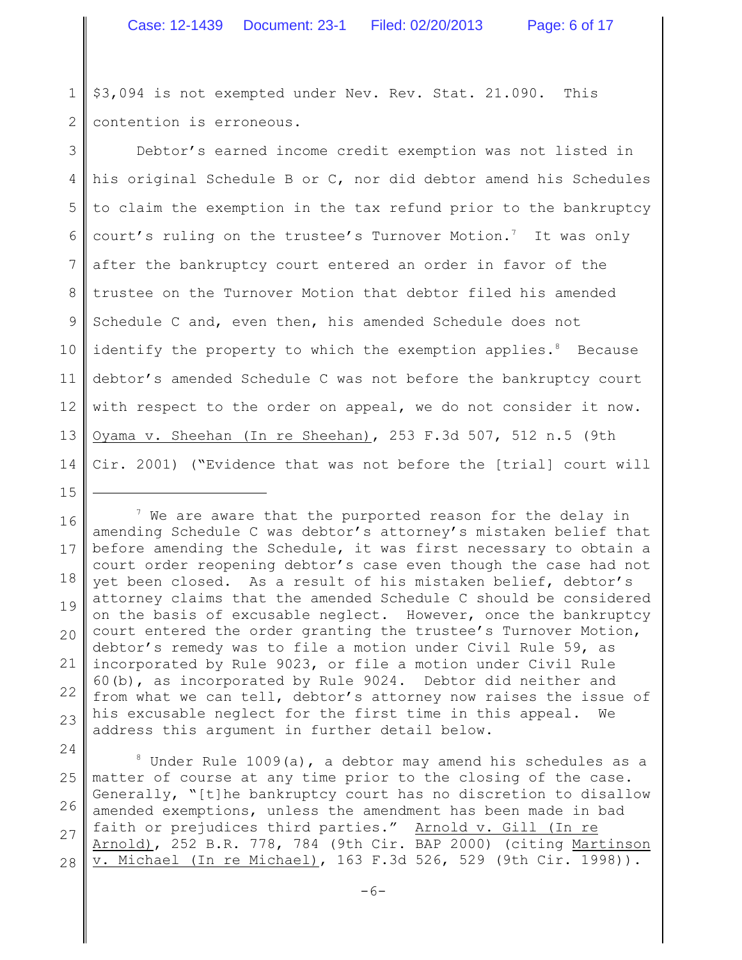1 2 \$3,094 is not exempted under Nev. Rev. Stat. 21.090. This contention is erroneous.

3 4 5 6 7 8 9 10 11 12 13 14 Debtor's earned income credit exemption was not listed in his original Schedule B or C, nor did debtor amend his Schedules to claim the exemption in the tax refund prior to the bankruptcy court's ruling on the trustee's Turnover Motion.<sup>7</sup> It was only after the bankruptcy court entered an order in favor of the trustee on the Turnover Motion that debtor filed his amended Schedule C and, even then, his amended Schedule does not identify the property to which the exemption applies. $8$  Because debtor's amended Schedule C was not before the bankruptcy court with respect to the order on appeal, we do not consider it now. Oyama v. Sheehan (In re Sheehan), 253 F.3d 507, 512 n.5 (9th Cir. 2001) ("Evidence that was not before the [trial] court will

15

16 17 18 19 20 21 22 23  $7$  We are aware that the purported reason for the delay in amending Schedule C was debtor's attorney's mistaken belief that before amending the Schedule, it was first necessary to obtain a court order reopening debtor's case even though the case had not yet been closed. As a result of his mistaken belief, debtor's attorney claims that the amended Schedule C should be considered on the basis of excusable neglect. However, once the bankruptcy court entered the order granting the trustee's Turnover Motion, debtor's remedy was to file a motion under Civil Rule 59, as incorporated by Rule 9023, or file a motion under Civil Rule 60(b), as incorporated by Rule 9024. Debtor did neither and from what we can tell, debtor's attorney now raises the issue of his excusable neglect for the first time in this appeal. We address this argument in further detail below.

24 25 26 27 28  $8$  Under Rule 1009(a), a debtor may amend his schedules as a matter of course at any time prior to the closing of the case. Generally, "[t]he bankruptcy court has no discretion to disallow amended exemptions, unless the amendment has been made in bad faith or prejudices third parties." Arnold v. Gill (In re Arnold), 252 B.R. 778, 784 (9th Cir. BAP 2000) (citing Martinson v. Michael (In re Michael), 163 F.3d 526, 529 (9th Cir. 1998)).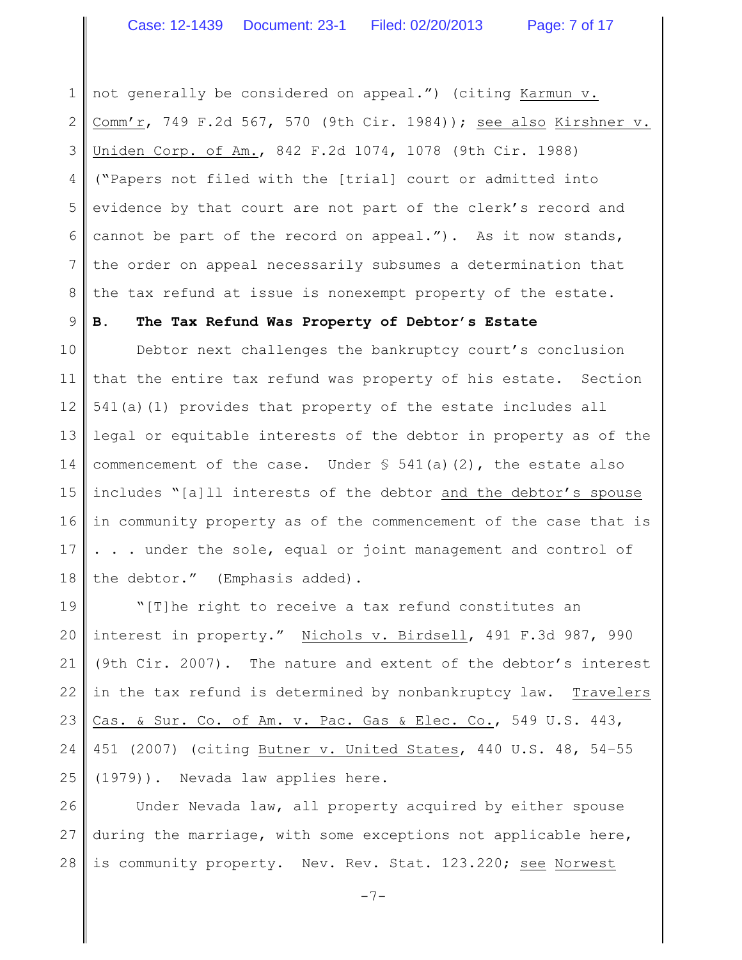1 2 3 4 5 6 7 8 not generally be considered on appeal.") (citing Karmun v. Comm'r, 749 F.2d 567, 570 (9th Cir. 1984)); see also Kirshner v. Uniden Corp. of Am., 842 F.2d 1074, 1078 (9th Cir. 1988) ("Papers not filed with the [trial] court or admitted into evidence by that court are not part of the clerk's record and cannot be part of the record on appeal."). As it now stands, the order on appeal necessarily subsumes a determination that the tax refund at issue is nonexempt property of the estate.

### **B. The Tax Refund Was Property of Debtor's Estate**

9

10 11 12 13 14 15 16 17 18 Debtor next challenges the bankruptcy court's conclusion that the entire tax refund was property of his estate. Section 541(a)(1) provides that property of the estate includes all legal or equitable interests of the debtor in property as of the commencement of the case. Under  $\frac{1}{2}$  541(a)(2), the estate also includes "[a]ll interests of the debtor and the debtor's spouse in community property as of the commencement of the case that is . . . under the sole, equal or joint management and control of the debtor." (Emphasis added).

19 20 21 22 23 24 25 "[T]he right to receive a tax refund constitutes an interest in property." Nichols v. Birdsell, 491 F.3d 987, 990 (9th Cir. 2007). The nature and extent of the debtor's interest in the tax refund is determined by nonbankruptcy law. Travelers Cas. & Sur. Co. of Am. v. Pac. Gas & Elec. Co., 549 U.S. 443, 451 (2007) (citing Butner v. United States, 440 U.S. 48, 54–55 (1979)). Nevada law applies here.

26 27 28 Under Nevada law, all property acquired by either spouse during the marriage, with some exceptions not applicable here, is community property. Nev. Rev. Stat. 123.220; see Norwest

-7-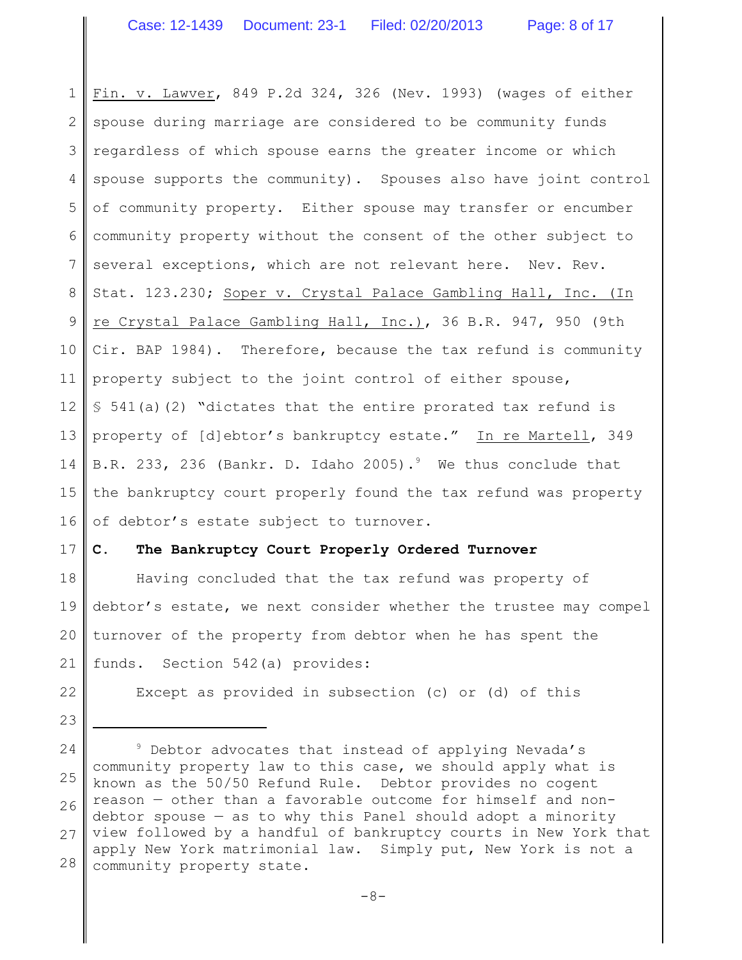1 2 3 4 5 6 7 8 9 10 11 12 13 14 15 16 Fin. v. Lawver, 849 P.2d 324, 326 (Nev. 1993) (wages of either spouse during marriage are considered to be community funds regardless of which spouse earns the greater income or which spouse supports the community). Spouses also have joint control of community property. Either spouse may transfer or encumber community property without the consent of the other subject to several exceptions, which are not relevant here. Nev. Rev. Stat. 123.230; Soper v. Crystal Palace Gambling Hall, Inc. (In re Crystal Palace Gambling Hall, Inc.), 36 B.R. 947, 950 (9th Cir. BAP 1984). Therefore, because the tax refund is community property subject to the joint control of either spouse, § 541(a)(2) "dictates that the entire prorated tax refund is property of [d]ebtor's bankruptcy estate." In re Martell, 349 B.R. 233, 236 (Bankr. D. Idaho 2005). We thus conclude that the bankruptcy court properly found the tax refund was property of debtor's estate subject to turnover.

#### 17 **C. The Bankruptcy Court Properly Ordered Turnover**

18 19 20 21 Having concluded that the tax refund was property of debtor's estate, we next consider whether the trustee may compel turnover of the property from debtor when he has spent the funds. Section 542(a) provides:

22

23

Except as provided in subsection (c) or (d) of this

<sup>24</sup> 25 26 27 28 <sup>9</sup> Debtor advocates that instead of applying Nevada's community property law to this case, we should apply what is known as the 50/50 Refund Rule. Debtor provides no cogent reason — other than a favorable outcome for himself and nondebtor spouse — as to why this Panel should adopt a minority view followed by a handful of bankruptcy courts in New York that apply New York matrimonial law. Simply put, New York is not a community property state.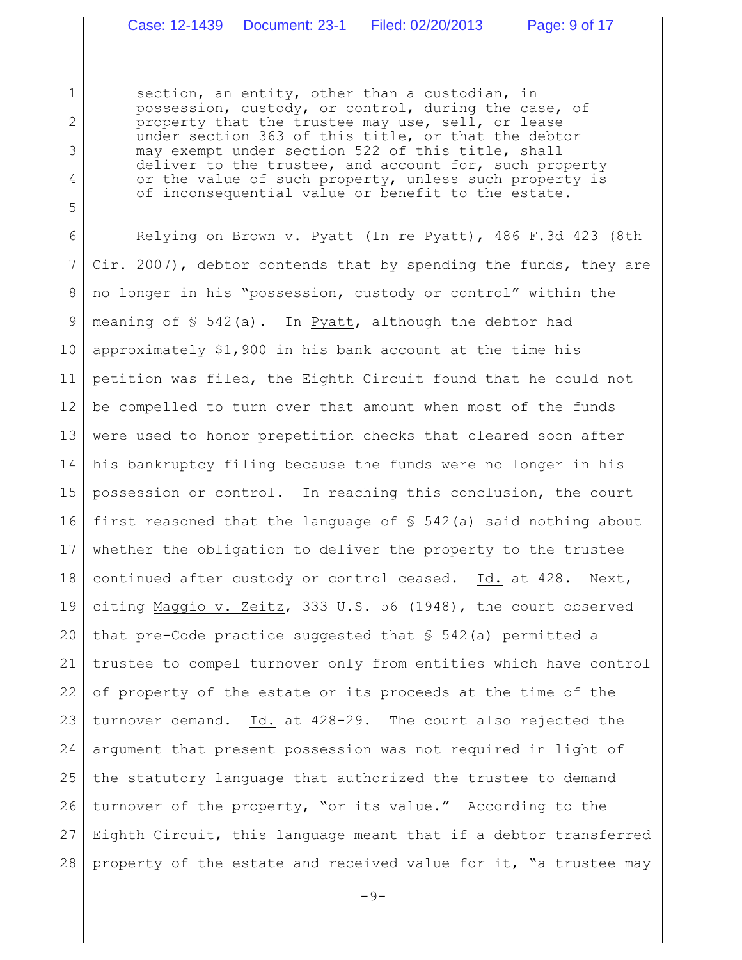1

2

3

4

5

section, an entity, other than a custodian, in possession, custody, or control, during the case, of property that the trustee may use, sell, or lease under section 363 of this title, or that the debtor may exempt under section 522 of this title, shall deliver to the trustee, and account for, such property or the value of such property, unless such property is of inconsequential value or benefit to the estate.

6 7 8 9 10 11 12 13 14 15 16 17 18 19 20 21 22 23 24 25 26 27 28 Relying on Brown v. Pyatt (In re Pyatt), 486 F.3d 423 (8th Cir. 2007), debtor contends that by spending the funds, they are no longer in his "possession, custody or control" within the meaning of  $\frac{1}{2}$  542(a). In Pyatt, although the debtor had approximately \$1,900 in his bank account at the time his petition was filed, the Eighth Circuit found that he could not be compelled to turn over that amount when most of the funds were used to honor prepetition checks that cleared soon after his bankruptcy filing because the funds were no longer in his possession or control. In reaching this conclusion, the court first reasoned that the language of  $\S$  542(a) said nothing about whether the obligation to deliver the property to the trustee continued after custody or control ceased. Id. at 428. Next, citing Maggio v. Zeitz, 333 U.S. 56 (1948), the court observed that pre-Code practice suggested that § 542(a) permitted a trustee to compel turnover only from entities which have control of property of the estate or its proceeds at the time of the turnover demand. Id. at 428-29. The court also rejected the argument that present possession was not required in light of the statutory language that authorized the trustee to demand turnover of the property, "or its value." According to the Eighth Circuit, this language meant that if a debtor transferred property of the estate and received value for it, "a trustee may

 $-9-$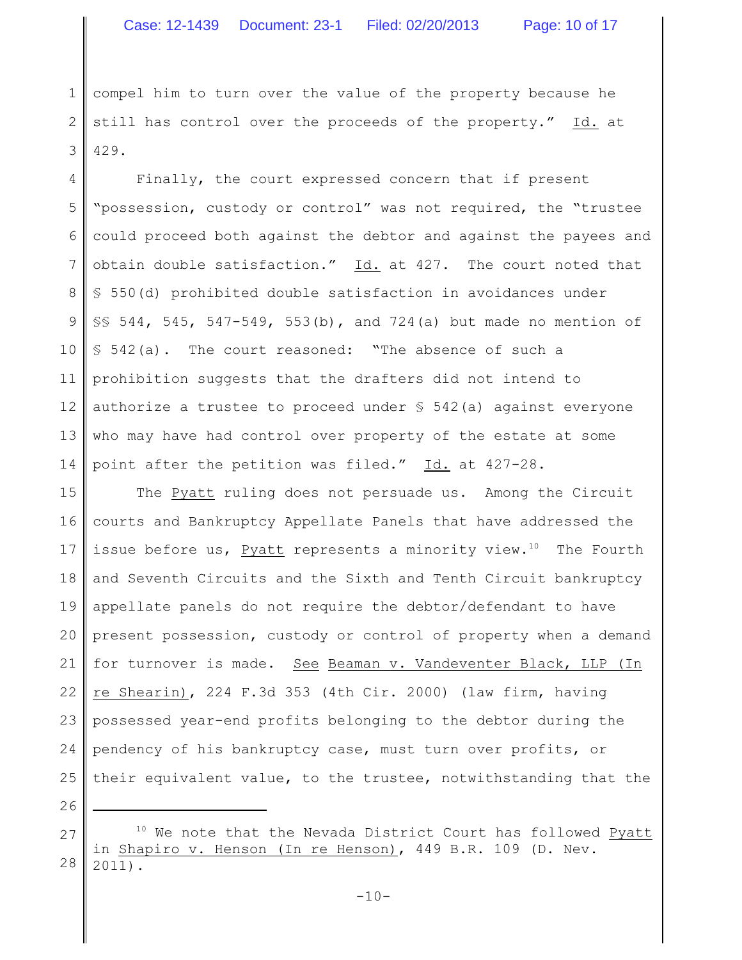1 2 3 compel him to turn over the value of the property because he still has control over the proceeds of the property." Id. at 429.

4 5 6 7 8 9 10 11 12 13 14 Finally, the court expressed concern that if present "possession, custody or control" was not required, the "trustee could proceed both against the debtor and against the payees and obtain double satisfaction." Id. at 427. The court noted that § 550(d) prohibited double satisfaction in avoidances under §§ 544, 545, 547-549, 553(b), and 724(a) but made no mention of § 542(a). The court reasoned: "The absence of such a prohibition suggests that the drafters did not intend to authorize a trustee to proceed under  $\S$  542(a) against everyone who may have had control over property of the estate at some point after the petition was filed." Id. at 427-28.

15 16 17 18 19 20 21 22 23 24 25 The Pyatt ruling does not persuade us. Among the Circuit courts and Bankruptcy Appellate Panels that have addressed the issue before us, Pyatt represents a minority view.<sup>10</sup> The Fourth and Seventh Circuits and the Sixth and Tenth Circuit bankruptcy appellate panels do not require the debtor/defendant to have present possession, custody or control of property when a demand for turnover is made. See Beaman v. Vandeventer Black, LLP (In re Shearin), 224 F.3d 353 (4th Cir. 2000) (law firm, having possessed year-end profits belonging to the debtor during the pendency of his bankruptcy case, must turn over profits, or their equivalent value, to the trustee, notwithstanding that the

26

<sup>27</sup> 28  $10$  We note that the Nevada District Court has followed Pyatt in Shapiro v. Henson (In re Henson), 449 B.R. 109 (D. Nev. 2011).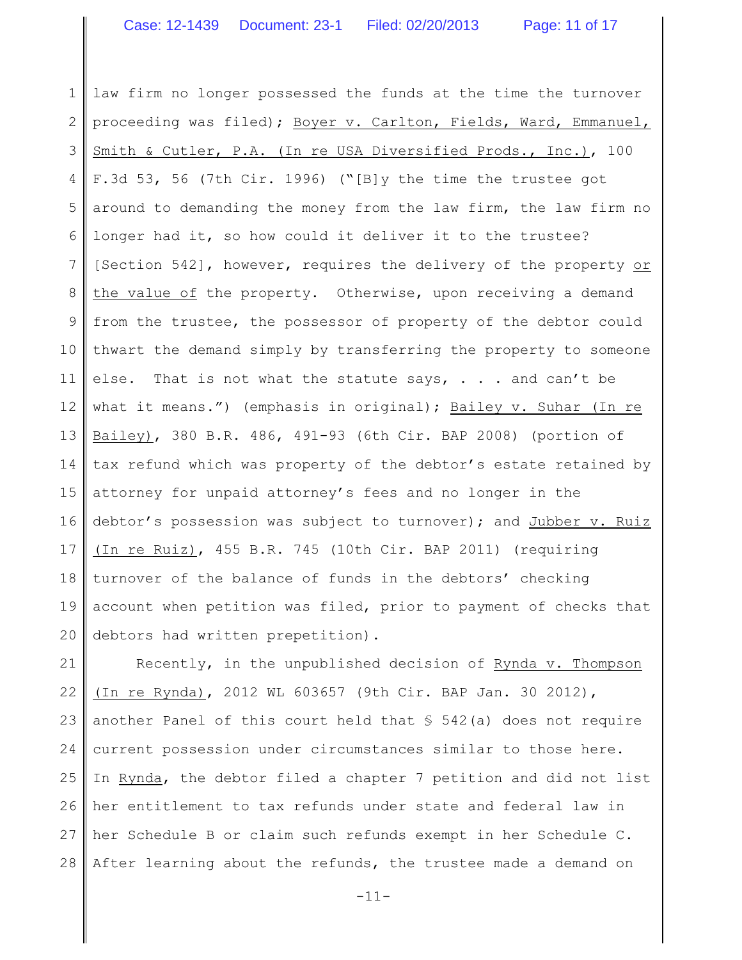1 2 3 4 5 6 7 8 9 10 11 12 13 14 15 16 17 18 19 20 law firm no longer possessed the funds at the time the turnover proceeding was filed); Boyer v. Carlton, Fields, Ward, Emmanuel, Smith & Cutler, P.A. (In re USA Diversified Prods., Inc.), 100 F.3d 53, 56 (7th Cir. 1996) ("[B]y the time the trustee got around to demanding the money from the law firm, the law firm no longer had it, so how could it deliver it to the trustee? [Section 542], however, requires the delivery of the property or the value of the property. Otherwise, upon receiving a demand from the trustee, the possessor of property of the debtor could thwart the demand simply by transferring the property to someone else. That is not what the statute says,  $\ldots$  and can't be what it means.") (emphasis in original); Bailey v. Suhar (In re Bailey), 380 B.R. 486, 491-93 (6th Cir. BAP 2008) (portion of tax refund which was property of the debtor's estate retained by attorney for unpaid attorney's fees and no longer in the debtor's possession was subject to turnover); and Jubber v. Ruiz (In re Ruiz), 455 B.R. 745 (10th Cir. BAP 2011) (requiring turnover of the balance of funds in the debtors' checking account when petition was filed, prior to payment of checks that debtors had written prepetition).

21 22 23 24 25 26 27 28 Recently, in the unpublished decision of Rynda v. Thompson (In re Rynda), 2012 WL 603657 (9th Cir. BAP Jan. 30 2012), another Panel of this court held that  $\S$  542(a) does not require current possession under circumstances similar to those here. In Rynda, the debtor filed a chapter 7 petition and did not list her entitlement to tax refunds under state and federal law in her Schedule B or claim such refunds exempt in her Schedule C. After learning about the refunds, the trustee made a demand on

-11-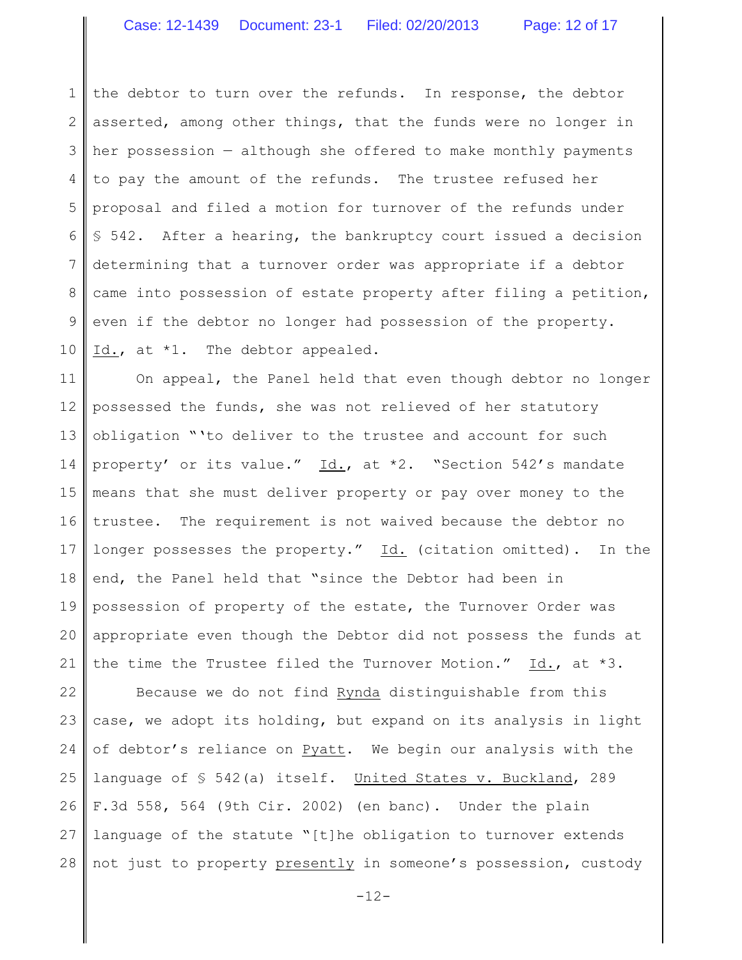1 2 3 4 5 6 7 8 9 10 the debtor to turn over the refunds. In response, the debtor asserted, among other things, that the funds were no longer in her possession — although she offered to make monthly payments to pay the amount of the refunds. The trustee refused her proposal and filed a motion for turnover of the refunds under § 542. After a hearing, the bankruptcy court issued a decision determining that a turnover order was appropriate if a debtor came into possession of estate property after filing a petition, even if the debtor no longer had possession of the property. Id., at \*1. The debtor appealed.

11 12 13 14 15 16 17 18 19 20 21 On appeal, the Panel held that even though debtor no longer possessed the funds, she was not relieved of her statutory obligation "'to deliver to the trustee and account for such property' or its value." Id., at \*2. "Section 542's mandate means that she must deliver property or pay over money to the trustee. The requirement is not waived because the debtor no longer possesses the property." Id. (citation omitted). In the end, the Panel held that "since the Debtor had been in possession of property of the estate, the Turnover Order was appropriate even though the Debtor did not possess the funds at the time the Trustee filed the Turnover Motion." Id., at \*3.

22 23 24 25 26 27 28 Because we do not find Rynda distinguishable from this case, we adopt its holding, but expand on its analysis in light of debtor's reliance on Pyatt. We begin our analysis with the language of § 542(a) itself. United States v. Buckland, 289 F.3d 558, 564 (9th Cir. 2002) (en banc). Under the plain language of the statute "[t]he obligation to turnover extends not just to property presently in someone's possession, custody

 $-12-$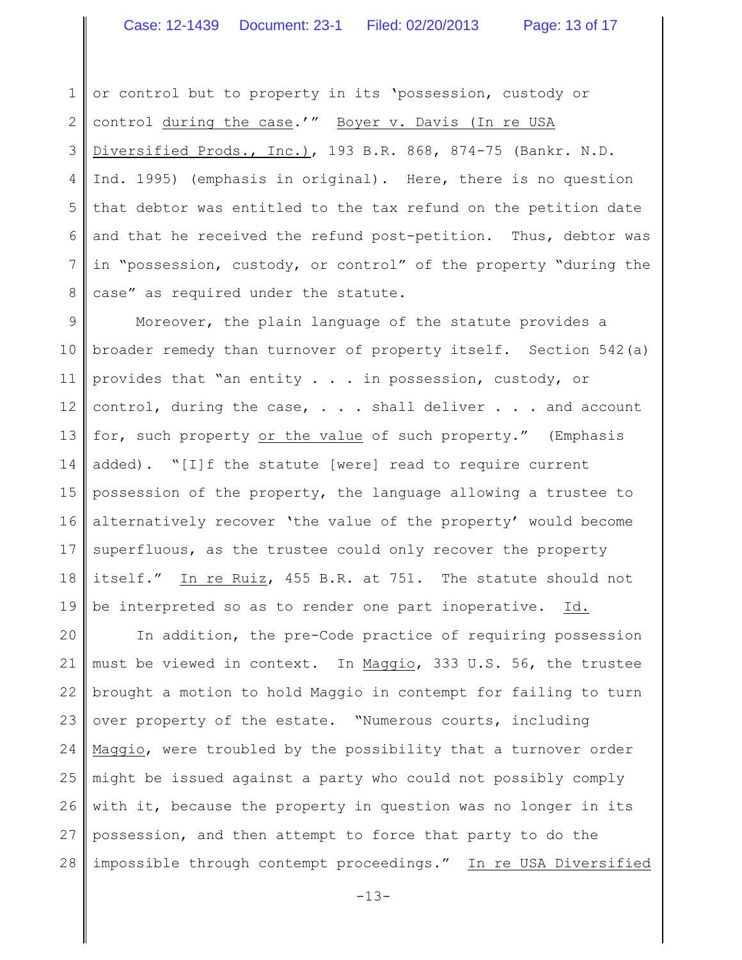1 2 3 4 5 6 7 8 or control but to property in its 'possession, custody or control during the case.'" Boyer v. Davis (In re USA Diversified Prods., Inc.), 193 B.R. 868, 874-75 (Bankr. N.D. Ind. 1995) (emphasis in original). Here, there is no question that debtor was entitled to the tax refund on the petition date and that he received the refund post-petition. Thus, debtor was in "possession, custody, or control" of the property "during the case" as required under the statute.

9 10 11 12 13 14 15 16 17 18 19 Moreover, the plain language of the statute provides a broader remedy than turnover of property itself. Section 542(a) provides that "an entity . . . in possession, custody, or control, during the case, . . . shall deliver . . . and account for, such property or the value of such property." (Emphasis added). "[I]f the statute [were] read to require current possession of the property, the language allowing a trustee to alternatively recover 'the value of the property' would become superfluous, as the trustee could only recover the property itself." In re Ruiz, 455 B.R. at 751. The statute should not be interpreted so as to render one part inoperative. Id.

20 21 22 23 24 25 26 27 28 In addition, the pre-Code practice of requiring possession must be viewed in context. In Maggio, 333 U.S. 56, the trustee brought a motion to hold Maggio in contempt for failing to turn over property of the estate. "Numerous courts, including Maggio, were troubled by the possibility that a turnover order might be issued against a party who could not possibly comply with it, because the property in question was no longer in its possession, and then attempt to force that party to do the impossible through contempt proceedings." In re USA Diversified

 $-13-$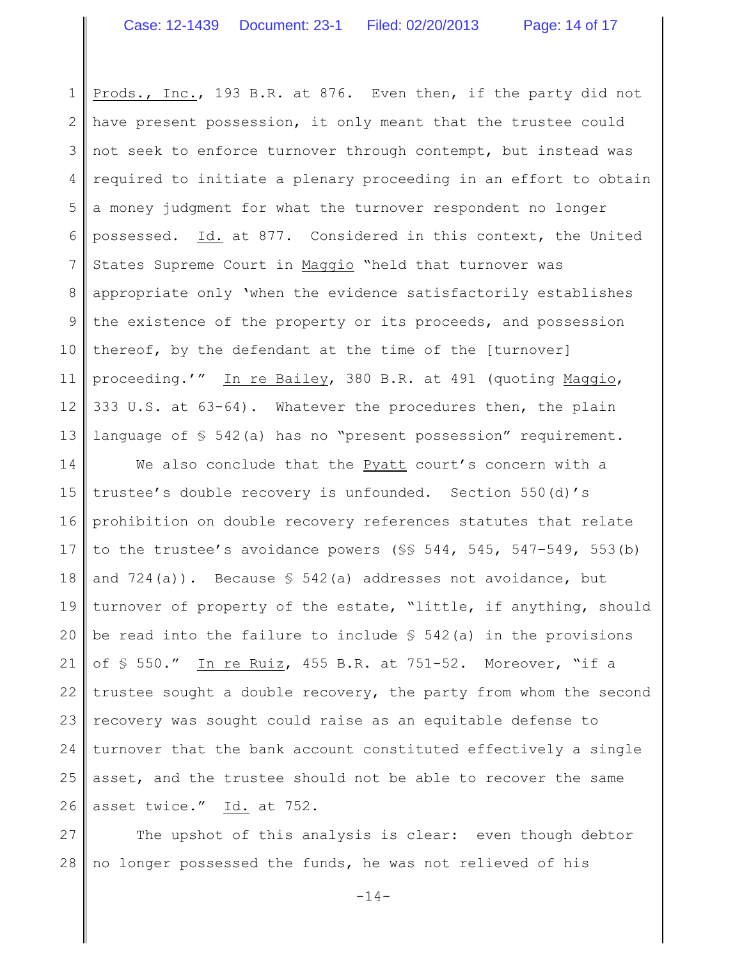1 2 3 4 5 6 7 8 9 10 11 12 13 Prods., Inc., 193 B.R. at 876. Even then, if the party did not have present possession, it only meant that the trustee could not seek to enforce turnover through contempt, but instead was required to initiate a plenary proceeding in an effort to obtain a money judgment for what the turnover respondent no longer possessed. Id. at 877. Considered in this context, the United States Supreme Court in Maggio "held that turnover was appropriate only 'when the evidence satisfactorily establishes the existence of the property or its proceeds, and possession thereof, by the defendant at the time of the [turnover] proceeding.'" In re Bailey, 380 B.R. at 491 (quoting Maggio, 333 U.S. at 63-64). Whatever the procedures then, the plain language of  $\S$  542(a) has no "present possession" requirement.

14 15 16 17 18 19 20 21 22 23 24 25 26 We also conclude that the Pyatt court's concern with a trustee's double recovery is unfounded. Section 550(d)'s prohibition on double recovery references statutes that relate to the trustee's avoidance powers (§§ 544, 545, 547–549, 553(b) and  $724(a)$ ). Because § 542(a) addresses not avoidance, but turnover of property of the estate, "little, if anything, should be read into the failure to include  $$542(a)$  in the provisions of § 550." In re Ruiz, 455 B.R. at 751-52. Moreover, "if a trustee sought a double recovery, the party from whom the second recovery was sought could raise as an equitable defense to turnover that the bank account constituted effectively a single asset, and the trustee should not be able to recover the same asset twice." Id. at 752.

27 28 The upshot of this analysis is clear: even though debtor no longer possessed the funds, he was not relieved of his

 $-14-$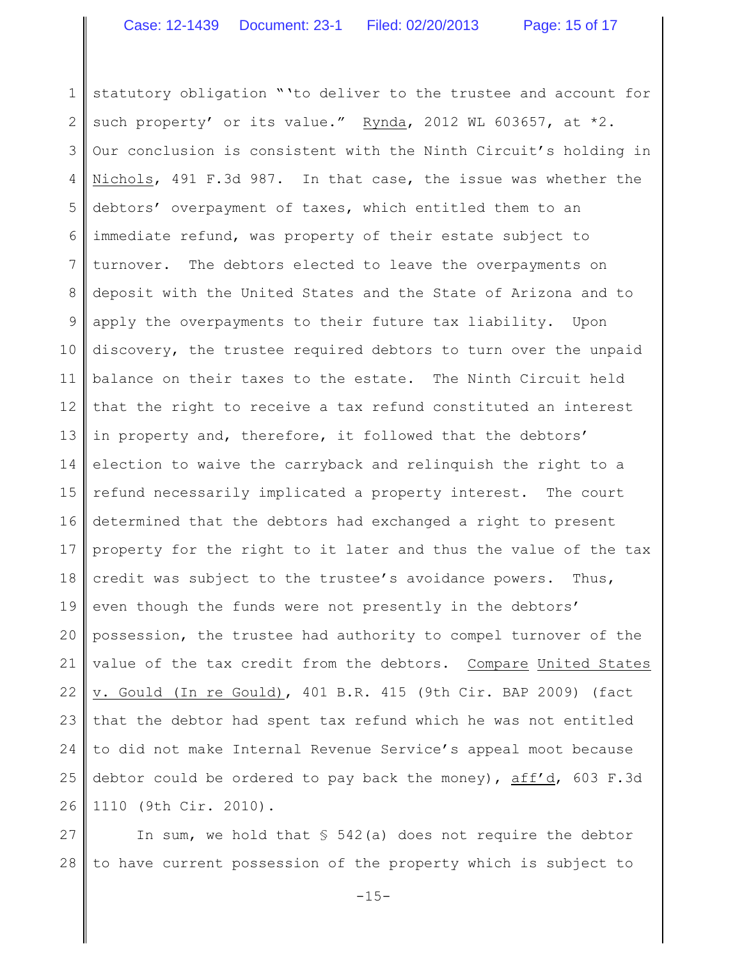1 2 3 4 5 6 7 8 9 10 11 12 13 14 15 16 17 18 19 20 21 22 23 24 25 26 statutory obligation "'to deliver to the trustee and account for such property' or its value." Rynda, 2012 WL 603657, at \*2. Our conclusion is consistent with the Ninth Circuit's holding in Nichols, 491 F.3d 987. In that case, the issue was whether the debtors' overpayment of taxes, which entitled them to an immediate refund, was property of their estate subject to turnover. The debtors elected to leave the overpayments on deposit with the United States and the State of Arizona and to apply the overpayments to their future tax liability. Upon discovery, the trustee required debtors to turn over the unpaid balance on their taxes to the estate. The Ninth Circuit held that the right to receive a tax refund constituted an interest in property and, therefore, it followed that the debtors' election to waive the carryback and relinquish the right to a refund necessarily implicated a property interest. The court determined that the debtors had exchanged a right to present property for the right to it later and thus the value of the tax credit was subject to the trustee's avoidance powers. Thus, even though the funds were not presently in the debtors' possession, the trustee had authority to compel turnover of the value of the tax credit from the debtors. Compare United States v. Gould (In re Gould), 401 B.R. 415 (9th Cir. BAP 2009) (fact that the debtor had spent tax refund which he was not entitled to did not make Internal Revenue Service's appeal moot because debtor could be ordered to pay back the money), aff'd, 603 F.3d 1110 (9th Cir. 2010).

27 28 In sum, we hold that  $\S$  542(a) does not require the debtor to have current possession of the property which is subject to

 $-1.5-$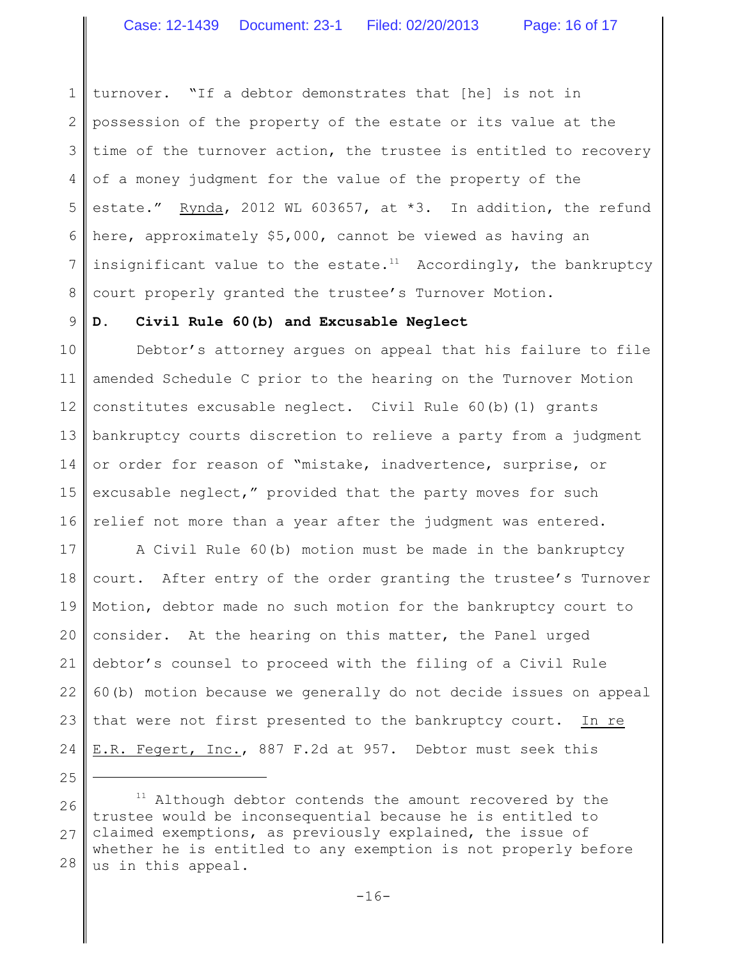1 2 3 4 5 6 7 8 turnover. "If a debtor demonstrates that [he] is not in possession of the property of the estate or its value at the time of the turnover action, the trustee is entitled to recovery of a money judgment for the value of the property of the estate." Rynda, 2012 WL 603657, at \*3. In addition, the refund here, approximately \$5,000, cannot be viewed as having an insignificant value to the estate.<sup>11</sup> Accordingly, the bankruptcy court properly granted the trustee's Turnover Motion.

#### 9 **D. Civil Rule 60(b) and Excusable Neglect**

10 11 12 13 14 15 16 Debtor's attorney argues on appeal that his failure to file amended Schedule C prior to the hearing on the Turnover Motion constitutes excusable neglect. Civil Rule 60(b)(1) grants bankruptcy courts discretion to relieve a party from a judgment or order for reason of "mistake, inadvertence, surprise, or excusable neglect," provided that the party moves for such relief not more than a year after the judgment was entered.

17 18 19 20 21 22 23 24 A Civil Rule 60(b) motion must be made in the bankruptcy court. After entry of the order granting the trustee's Turnover Motion, debtor made no such motion for the bankruptcy court to consider. At the hearing on this matter, the Panel urged debtor's counsel to proceed with the filing of a Civil Rule 60(b) motion because we generally do not decide issues on appeal that were not first presented to the bankruptcy court. In re E.R. Fegert, Inc., 887 F.2d at 957. Debtor must seek this

25

<sup>26</sup> 27 28  $11$  Although debtor contends the amount recovered by the trustee would be inconsequential because he is entitled to claimed exemptions, as previously explained, the issue of whether he is entitled to any exemption is not properly before us in this appeal.